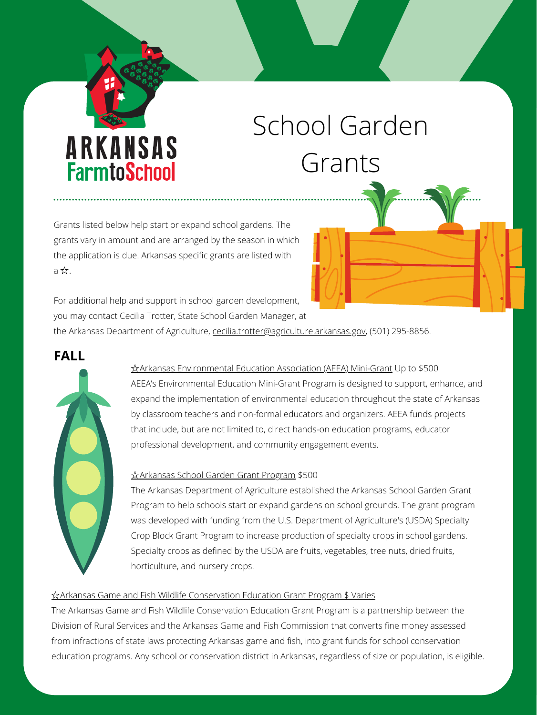# ARKANSAS **FarmtoSchool**

# School Garden Grants

Grants listed below help start or expand school gardens. The grants vary in amount and are arranged by the season in which the application is due. Arkansas specific grants are listed with a ☆.

For additional help and support in school garden development, you may contact Cecilia Trotter, State School Garden Manager, at

the Arkansas Department of Agriculture, [cecilia.trotter@agriculture.arkansas.gov](mailto:cecilia.trotter@agriculture.arkansas.gov), (501) 295-8856.



☆[Arkansas Environmental Education Association \(AEEA\) Mini-Grant](https://arkansasee.org/ee-funding/) [Up to \\$500](https://www.agriculture.arkansas.gov/arkansas-department-of-agriculture-programs/farm-to-school/school-gardens/arkansas-school-garden-grant-program/)



[AEEA's Environmental Education Mini-Grant Program is designed to support, enhance, and](https://www.agriculture.arkansas.gov/arkansas-department-of-agriculture-programs/farm-to-school/school-gardens/arkansas-school-garden-grant-program/) expand the implementation of environmental education throughout the state of Arkansas by classroom teachers and non-formal educators and organizers. AEEA funds projects that include, but are not limited to, direct hands-on education programs, educator professional development, and community engagement events.

# ☆[Arkansas School Garden Grant Program](https://www.agriculture.arkansas.gov/arkansas-department-of-agriculture-programs/farm-to-school/school-gardens/arkansas-school-garden-grant-program/) \$500

The Arkansas Department of Agriculture established the Arkansas School Garden Grant Program to help schools start or expand gardens on school grounds. The grant program was developed with funding from the U.S. Department of Agriculture's (USDA) Specialty Crop Block Grant Program to increase production of specialty crops in school gardens. Specialty crops as defined by the USDA are fruits, vegetables, tree nuts, dried fruits, horticulture, and nursery crops.

# ☆[Arkansas Game and Fish Wildlife Conservation Education Grant Program](https://www.arkansasedc.com/Rural-Services/division/grants/wildlife-education-grant) \$ Varies

The Arkansas Game and Fish Wildlife Conservation Education Grant Program is a partnership between the Division of Rural Services and the Arkansas Game and Fish Commission that converts fine money assessed from infractions of state laws protecting Arkansas game and fish, into grant funds for school conservation education programs. Any school or conservation district in Arkansas, regardless of size or population, is eligible.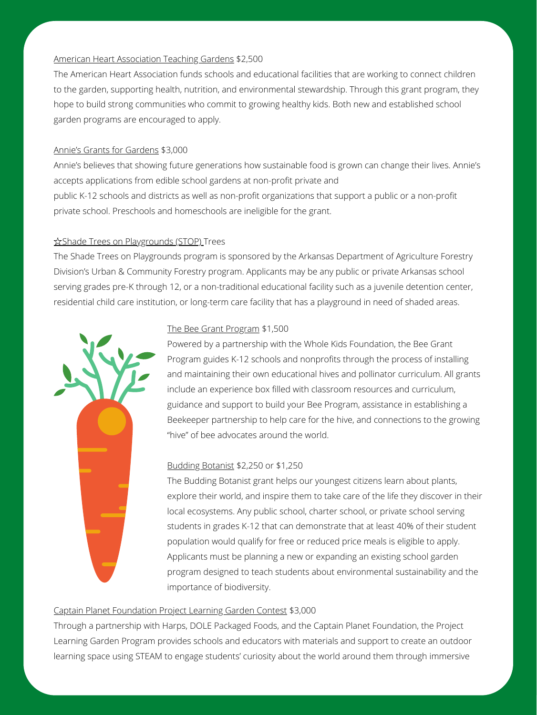# [American Heart Association Teaching Gardens](https://www.heart.org/en/professional/educator/teaching-gardens/teaching-gardens-grant) [\\$2,500](https://www.annies.com/giving-back/grants-for-gardens)

The American Heart Association funds schools and educational facilities that are working to connect children [to the garden, supporting health, nutrition, and environmental stewardship. Through this grant program, they](https://www.annies.com/giving-back/grants-for-gardens) hope to build strong communities who commit to growing healthy kids. Both new and established school garden programs are encouraged to apply.

#### [Annie's Grants for Gardens](https://www.annies.com/giving-back/grants-for-gardens) \$3,000

Annie's believes that showing future generations how sustainable food is grown can change their lives. Annie's accepts applications from edible school gardens at non-profit private and public K-12 schools and districts as well as non-profit organizations that support a public or a non-profit private school. Preschools and homeschools are ineligible for the grant.

### ☆[Shade Trees on Playgrounds \(STOP\)](https://www.agriculture.arkansas.gov/forestry/urban-community-forestry/stop-program/) Trees

The Shade Trees on Playgrounds program is sponsored by the Arkansas Department of Agriculture Forestry Division's Urban & Community Forestry program. Applicants may be any public or private Arkansas school serving grades pre-K through 12, or a non-traditional educational facility such as a juvenile detention center, residential child care institution, or long-term care facility that has a playground in need of shaded areas.



### [The Bee Grant Program](https://www.thebeecause.org/the-bee-grant/) \$1,500

Powered by a partnership with the Whole Kids Foundation, the Bee Grant Program guides K-12 schools and nonprofits through the process of installing and maintaining their own educational hives and pollinator curriculum. All grants include an experience box filled with classroom resources and curriculum, guidance and support to build your Bee Program, assistance in establishing a Beekeeper partnership to help care for the hive, and connections to the growing "hive" of bee advocates around the world.

# [Budding Botanist](https://kidsgardening.org/2021-budding-botanist-grant/) \$2,250 or \$1,250

The Budding Botanist grant helps our youngest citizens learn about plants, explore their world, and inspire them to take care of the life they discover in their local ecosystems. Any public school, charter school, or private school serving students in grades K-12 that can demonstrate that at least 40% of their student population would qualify for free or reduced price meals is eligible to apply. Applicants must be planning a new or expanding an existing school garden program designed to teach students about environmental sustainability and the importance of biodiversity.

# [Captain Planet Foundation Project Learning Garden Contest](https://captainplanetfoundation.org/contest/harps/) \$3,000

Through a partnership with Harps, DOLE Packaged Foods, and the Captain Planet Foundation, the Project Learning Garden Program provides schools and educators with materials and support to create an outdoor learning space using STEAM to engage students' curiosity about the world around them through immersive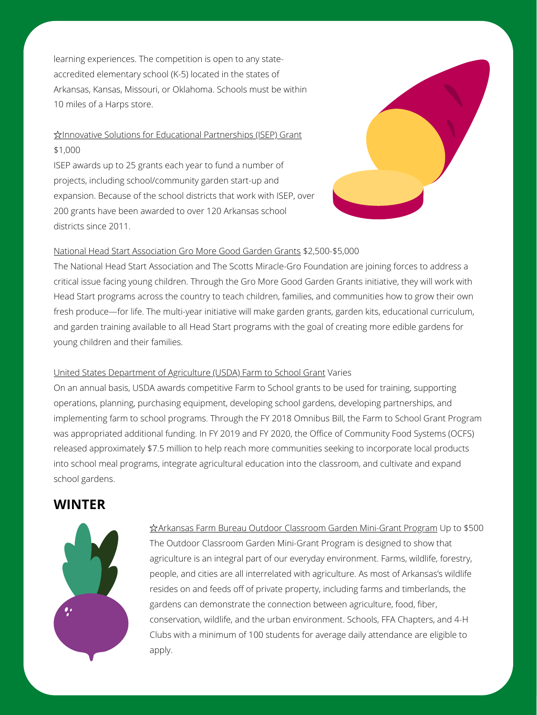learning experiences. The competition is open to any stateaccredited elementary school (K-5) located in the states of Arkansas, Kansas, Missouri, or Oklahoma. Schools must be within 10 miles of a Harps store.

# ☆[Innovative Solutions for Educational Partnerships \(ISEP\) Grant](http://www.isepartnerships.com/index.php/isep-grant-application) \$1,000

ISEP awards up to 25 grants each year to fund a number of projects, including school/community garden start-up and expansion. Because of the school districts that work with ISEP, over 200 grants have been awarded to over 120 Arkansas school districts since 2011.



#### [National Head Start Association Gro More Good Garden Grants](https://www.nhsa.org/our-work/current-initiatives/gro-more-gardens/) \$2,500-\$5,000

The National Head Start Association and The Scotts Miracle-Gro Foundation are joining forces to address a critical issue facing young children. Through the Gro More Good Garden Grants initiative, they will work with Head Start programs across the country to teach children, families, and communities how to grow their own fresh produce—for life. The multi-year initiative will make garden grants, garden kits, educational curriculum, and garden training available to all Head Start programs with the goal of creating more edible gardens for young children and their families.

#### [United States Department of Agriculture \(USDA\) Farm to School Grant](https://www.fns.usda.gov/cfs/farm-school-grant-program) Varies

On an annual basis, USDA awards competitive Farm to School grants to be used for training, supporting operations, planning, purchasing equipment, developing school gardens, developing partnerships, and implementing farm to school programs. Through the FY 2018 Omnibus Bill, the Farm to School Grant Program was appropriated additional funding. In FY 2019 and FY 2020, the Office of Community Food Systems (OCFS) released approximately \$7.5 million to help reach more communities seeking to incorporate local products into school meal programs, integrate agricultural education into the classroom, and cultivate and expand school gardens.

# **WINTER**



☆[Arkansas Farm Bureau Outdoor Classroom Garden Mini-Grant Program](https://www.arfb.com/pages/education/garden-grants/) Up to \$500 The Outdoor Classroom Garden Mini-Grant Program is designed to show that agriculture is an integral part of our everyday environment. Farms, wildlife, forestry, people, and cities are all interrelated with agriculture. As most of Arkansas's wildlife resides on and feeds off of private property, including farms and timberlands, the gardens can demonstrate the connection between agriculture, food, fiber, conservation, wildlife, and the urban environment. Schools, FFA Chapters, and 4-H Clubs with a minimum of 100 students for average daily attendance are eligible to apply.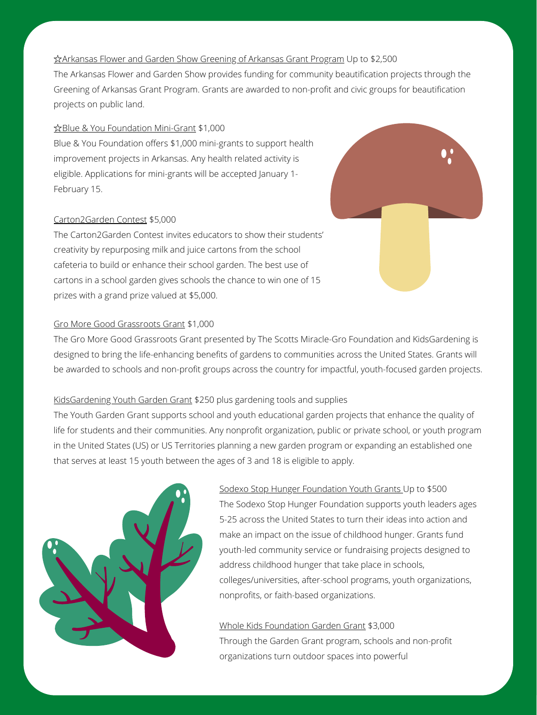# \*\* [Arkansas Flower and Garden Show Greening of Arkansas Grant Program](https://argardenshow.org/grants_scholarships/#grants) Up to \$2,500

The Arkansas Flower and Garden Show provides funding for community beautification projects through the Greening of Arkansas Grant Program. Grants are awarded to non-profit and civic groups for beautification projects on public land.

#### ☆[Blue & You Foundation Mini-Grant](http://www.blueandyoufoundationarkansas.org/application/#mini-grants) \$1,000

Blue & You Foundation offers \$1,000 mini-grants to support health improvement projects in Arkansas. Any health related activity is eligible. Applications for mini-grants will be accepted January 1- February 15.

# [Carton2Garden Contest](https://carton2garden.com/) \$5,000

The Carton2Garden Contest invites educators to show their students' creativity by repurposing milk and juice cartons from the school cafeteria to build or enhance their school garden. The best use of cartons in a school garden gives schools the chance to win one of 15 prizes with a grand prize valued at \$5,000.

### [Gro More Good Grassroots Grant](https://kidsgardening.org/2021-gromoregood-grassroots-grant/) \$1,000

The Gro More Good Grassroots Grant presented by The Scotts Miracle-Gro Foundation and KidsGardening is designed to bring the life-enhancing benefits of gardens to communities across the United States. Grants will be awarded to schools and non-profit groups across the country for impactful, youth-focused garden projects.



# [KidsGardening Youth Garden Grant](https://kidsgardening.org/2021-youth-garden-grant/) \$250 plus gardening tools and supplies

The Youth Garden Grant supports school and youth educational garden projects that enhance the quality of life for students and their communities. Any nonprofit organization, public or private school, or youth program in the United States (US) or US Territories planning a new garden program or expanding an established one that serves at least 15 youth between the ages of 3 and 18 is eligible to apply.



[Sodexo Stop Hunger Foundation Youth Grants](https://ysa.org/grant/sodexoyouth/) Up to \$500 The Sodexo Stop Hunger Foundation supports youth leaders ages 5-25 across the United States to turn their ideas into action and make an impact on the issue of childhood hunger. Grants fund youth-led community service or fundraising projects designed to address childhood hunger that take place in schools, colleges/universities, after-school programs, youth organizations, nonprofits, or faith-based organizations.

#### [Whole Kids Foundation Garden Grant](https://www.wholekidsfoundation.org/programs/school-gardens-grant) \$3,000

Through the Garden Grant program, schools and non-profit organizations turn outdoor spaces into powerful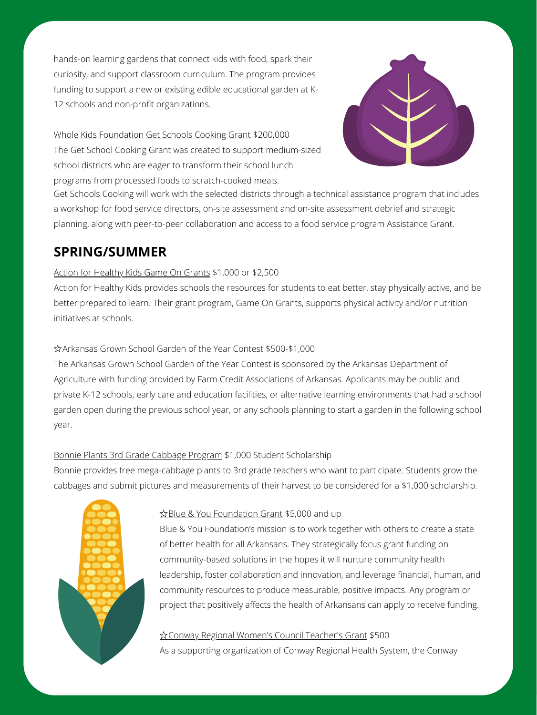hands-on learning gardens that connect kids with food, spark their curiosity, and support classroom curriculum. The program provides [funding to support a new or existing edible educational garden at K-](https://www.wholekidsfoundation.org/programs/get-schools-cooking-grant)12 schools and non-profit organizations.

### [Whole Kids Foundation Get Schools Cooking Grant](https://www.wholekidsfoundation.org/programs/get-schools-cooking-grant) \$200,000

The Get School Cooking Grant was created to support medium-sized school districts who are eager to transform their school lunch

programs from processed foods to scratch-cooked meals.



# **SPRING/SUMMER**

[Get Schools Cooking will work with the selected districts through a technical assistance program that includes](https://www.actionforhealthykids.org/school-grants-support/) a workshop for food service directors, on-site assessment and on-site assessment debrief and strategic planning, along with peer-to-peer collaboration and access to a food service program Assistance Grant.

# [Action for Healthy Kids Game On Grants](https://www.actionforhealthykids.org/grants-support/) [\\$1,000 or \\$2,500](https://bonniecabbageprogram.com/)

[Action for Healthy Kids provides schools the resources for students to eat better, stay physically active, and be](https://bonniecabbageprogram.com/) better prepared to learn. Their grant program, Game On Grants, supports physical activity and/or nutrition initiatives at schools.

# ☆[Arkansas Grown School Garden of the Year Contest](https://www.agriculture.arkansas.gov/arkansas-department-of-agriculture-programs/farm-to-school/school-gardens/arkansas-grown-school-garden-of-the-year-contest/) [\\$500-\\$1,000](https://bonniecabbageprogram.com/)

The Arkansas Grown School Garden of the Year Contest is sponsored by the Arkansas Department of

Agriculture with funding provided by Farm Credit Associations of Arkansas. Applicants may be public and private K-12 schools, early care and education facilities, or alternative learning environments that had a school [garden open during the previous school year, or any schools planning to start a garden in the following school](https://bonniecabbageprogram.com/) year.

# [Bonnie Plants 3rd Grade Cabbage Program](https://bonniecabbageprogram.com/) \$1,000 Student Scholarship

Bonnie provides free mega-cabbage plants to 3rd grade teachers who want to participate. Students grow the cabbages and submit pictures and measurements of their harvest to be considered for a \$1,000 scholarship.



# ☆[Blue & You Foundation Grant](http://www.blueandyoufoundationarkansas.org/application/#regular-grants) [\\$5,000 and up](https://www.conwayregional.org/about/foundation/women)

Blue & You Foundation's mission is to work together with others to create a state of better health for all Arkansans. They strategically focus grant funding on community-based solutions in the hopes it will nurture community health [leadership, foster collaboration and innovation, and leverage financial, human, and](https://www.conwayregional.org/about/foundation/women) community resources to produce measurable, positive impacts. Any program or project that positively affects the health of Arkansans can apply to receive funding.

## ☆[Conway Regional Women's Council Teacher's Grant](https://www.conwayregional.org/about/foundation/women) [\\$](https://www.conwayregional.org/about/foundation/women)500

As a supporting organization of Conway Regional Health System, the Conway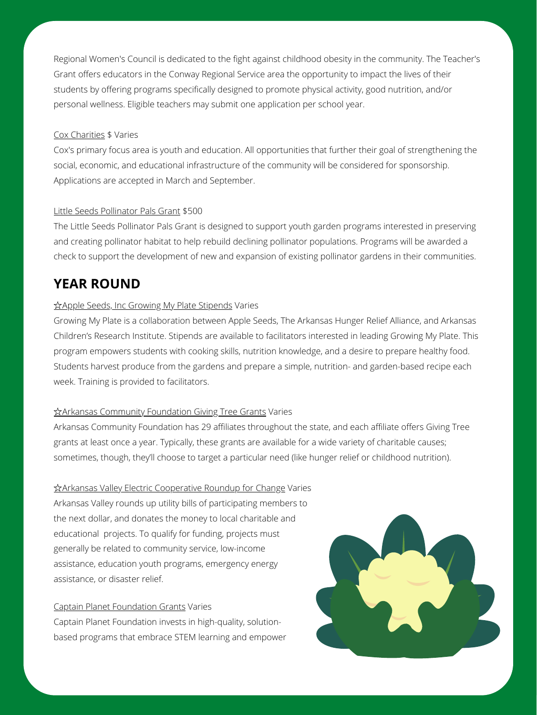# **YEAR ROUND**

### ☆[Apple Seeds, Inc Growing My Plate Stipends](https://appleseedsnwa.org/growingmyplate) Varies

Growing My Plate is a collaboration between Apple Seeds, The Arkansas Hunger Relief Alliance, and Arkansas Children's Research Institute. Stipends are available to facilitators interested in leading Growing My Plate. This program empowers students with cooking skills, nutrition knowledge, and a desire to prepare healthy food. Students harvest produce from the gardens and prepare a simple, nutrition- and garden-based recipe each

week. Training is provided to facilitators.

#### ☆[Arkansas Community Foundation Giving Tree Grants](https://www.arcf.org/apply-for-giving-tree-grants/) Varies

Arkansas Community Foundation has 29 affiliates throughout the state, and each affiliate offers Giving Tree grants at least once a year. Typically, these grants are available for a wide variety of charitable causes; sometimes, though, they'll choose to target a particular need (like hunger relief or childhood nutrition).

☆[Arkansas Valley Electric Cooperative Roundup for Change](https://www.avecc.com/myhome/roundupforchange/) Varies Arkansas Valley rounds up utility bills of participating members to the next dollar, and donates the money to local charitable and educational projects. To qualify for funding, projects must generally be related to community service, low-income assistance, education youth programs, emergency energy assistance, or disaster relief.

#### **[Captain Planet Foundation Grants](https://captainplanetfoundation.org/grants/) Varies**

Captain Planet Foundation invests in high-quality, solutionbased programs that embrace STEM learning and empower



Regional Women's Council is dedicated to the fight against childhood obesity in the community. The Teacher's Grant offers educators in the Conway Regional Service area the opportunity to impact the lives of their students by offering programs specifically designed to promote physical activity, good nutrition, and/or personal wellness. Eligible teachers may submit one application per school year.

#### [Cox Charities \\$ Varies](https://www.cox.com/aboutus/cox-in-the-community/charities-local.html?zip=73145)

Cox's primary focus area is youth and education. All opportunities that further their goal of strengthening the social, economic, and educational infrastructure of the community will be considered for sponsorship. Applications are accepted in March and September.

# [Little Seeds Pollinator Pals Grant](https://kidsgardening.org/2021-little-seeds-pollinator-pals-grant/) \$500

The Little Seeds Pollinator Pals Grant is designed to support youth garden programs interested in preserving and creating pollinator habitat to help rebuild declining pollinator populations. Programs will be awarded a check to support the development of new and expansion of existing pollinator gardens in their communities.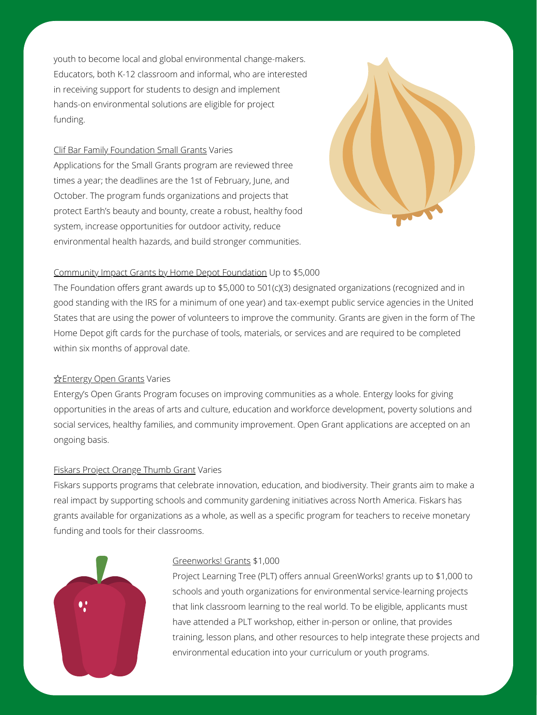youth to become local and global environmental change-makers. Educators, both K-12 classroom and informal, who are interested in receiving support for students to design and implement hands-on environmental solutions are eligible for project funding.

#### [Clif Bar Family Foundation Small Grants](http://clifbarfamilyfoundation.org/Grants-Programs/Small-Grants) Varies

Applications for the Small Grants program are reviewed three times a year; the deadlines are the 1st of February, June, and October. The program funds organizations and projects that protect Earth's beauty and bounty, create a robust, healthy food system, increase opportunities for outdoor activity, reduce environmental health hazards, and build stronger communities.



### [Community Impact Grants by Home Depot Foundation](http://homedepotfoundation.org/page/applying-for-a-grant) Up to \$5,000

The Foundation offers grant awards up to \$5,000 to 501(c)(3) designated organizations (recognized and in good standing with the IRS for a minimum of one year) and tax-exempt public service agencies in the United States that are using the power of volunteers to improve the community. Grants are given in the form of The Home Depot gift cards for the purchase of tools, materials, or services and are required to be completed within six months of approval date.

# ☆[Entergy Open Grants](https://www.entergy.com/our_community/grant_guidelines/) Varies

Entergy's Open Grants Program focuses on improving communities as a whole. Entergy looks for giving opportunities in the areas of arts and culture, education and workforce development, poverty solutions and social services, healthy families, and community improvement. Open Grant applications are accepted on an ongoing basis.

#### **[Fiskars Project Orange Thumb Grant](https://www.fiskars.com/en-us/special-feature/project-orange-thumb) Varies**

Fiskars supports programs that celebrate innovation, education, and biodiversity. Their grants aim to make a real impact by supporting schools and community gardening initiatives across North America. Fiskars has grants available for organizations as a whole, as well as a specific program for teachers to receive monetary funding and tools for their classrooms.



#### [Greenworks! Grants](https://www.plt.org/resources/greenworks-grants/) \$1,000

Project Learning Tree (PLT) offers annual GreenWorks! grants up to \$1,000 to schools and youth organizations for environmental service-learning projects that link classroom learning to the real world. To be eligible, applicants must have attended a PLT workshop, either in-person or online, that provides training, lesson plans, and other resources to help integrate these projects and environmental education into your curriculum or youth programs.